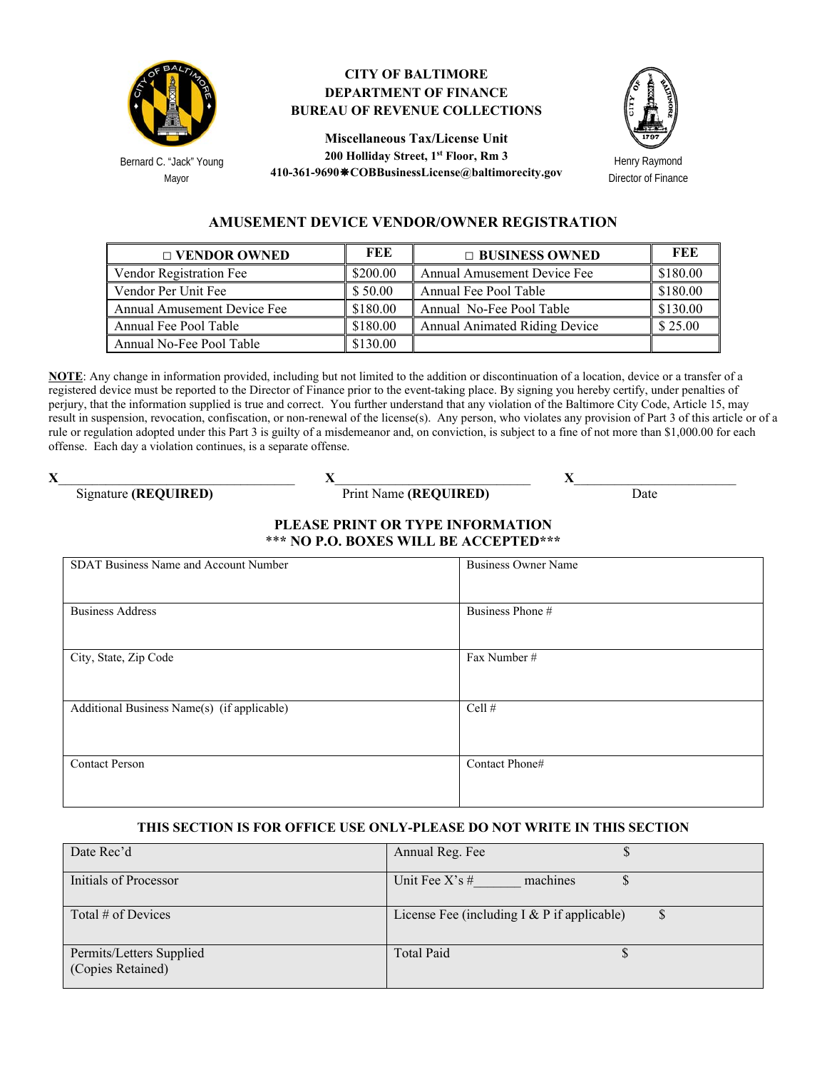

Bernard C. "Jack" Young Mayor

## **CITY OF BALTIMORE DEPARTMENT OF FINANCE BUREAU OF REVENUE COLLECTIONS**

**Miscellaneous Tax/License Unit 200 Holliday Street, 1st Floor, Rm 3 410-361-9690COBBusinessLicense@baltimorecity.gov** 



Henry Raymond Director of Finance

## **AMUSEMENT DEVICE VENDOR/OWNER REGISTRATION**

| $\Box$ VENDOR OWNED         | FEE      | $\Box$ BUSINESS OWNED                | FEE      |
|-----------------------------|----------|--------------------------------------|----------|
| Vendor Registration Fee     | \$200.00 | Annual Amusement Device Fee          | \$180.00 |
| Vendor Per Unit Fee         | \$50.00  | Annual Fee Pool Table                | \$180.00 |
| Annual Amusement Device Fee | \$180.00 | Annual No-Fee Pool Table             | \$130.00 |
| Annual Fee Pool Table       | \$180.00 | <b>Annual Animated Riding Device</b> | \$25.00  |
| Annual No-Fee Pool Table    | \$130.00 |                                      |          |

**NOTE**: Any change in information provided, including but not limited to the addition or discontinuation of a location, device or a transfer of a registered device must be reported to the Director of Finance prior to the event-taking place. By signing you hereby certify, under penalties of perjury, that the information supplied is true and correct. You further understand that any violation of the Baltimore City Code, Article 15, may result in suspension, revocation, confiscation, or non-renewal of the license(s). Any person, who violates any provision of Part 3 of this article or of a rule or regulation adopted under this Part 3 is guilty of a misdemeanor and, on conviction, is subject to a fine of not more than \$1,000.00 for each offense. Each day a violation continues, is a separate offense.

**X**\_\_\_\_\_\_\_\_\_\_\_\_\_\_\_\_\_\_\_\_\_\_\_\_\_\_\_\_\_\_\_\_\_\_\_ **X**\_\_\_\_\_\_\_\_\_\_\_\_\_\_\_\_\_\_\_\_\_\_\_\_\_\_\_\_\_ **X**\_\_\_\_\_\_\_\_\_\_\_\_\_\_\_\_\_\_\_\_\_\_\_\_

Signature **(REQUIRED)** Print Name **(REQUIRED)** Date

## **PLEASE PRINT OR TYPE INFORMATION**  \*\***\* NO P.O. BOXES WILL BE ACCEPTED\*\*\***

| SDAT Business Name and Account Number       | <b>Business Owner Name</b> |
|---------------------------------------------|----------------------------|
| <b>Business Address</b>                     | Business Phone #           |
| City, State, Zip Code                       | Fax Number#                |
| Additional Business Name(s) (if applicable) | Cell $#$                   |
| <b>Contact Person</b>                       | Contact Phone#             |

## **THIS SECTION IS FOR OFFICE USE ONLY-PLEASE DO NOT WRITE IN THIS SECTION**

| Date Rec'd                                    | Annual Reg. Fee                                    |
|-----------------------------------------------|----------------------------------------------------|
| Initials of Processor                         | Unit Fee $X's \#$<br>machines                      |
| Total # of Devices                            | License Fee (including $I & P$ if applicable)<br>J |
| Permits/Letters Supplied<br>(Copies Retained) | <b>Total Paid</b>                                  |